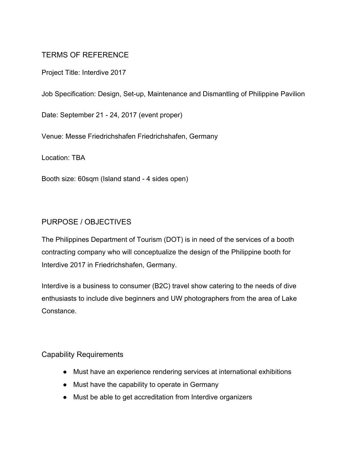# TERMS OF REFERENCE

Project Title: Interdive 2017

Job Specification: Design, Set-up, Maintenance and Dismantling of Philippine Pavilion

Date: September 21 - 24, 2017 (event proper)

Venue: Messe Friedrichshafen Friedrichshafen, Germany

Location: TBA

Booth size: 60sqm (Island stand - 4 sides open)

## PURPOSE / OBJECTIVES

The Philippines Department of Tourism (DOT) is in need of the services of a booth contracting company who will conceptualize the design of the Philippine booth for Interdive 2017 in Friedrichshafen, Germany.

Interdive is a business to consumer (B2C) travel show catering to the needs of dive enthusiasts to include dive beginners and UW photographers from the area of Lake Constance.

#### Capability Requirements

- Must have an experience rendering services at international exhibitions
- Must have the capability to operate in Germany
- Must be able to get accreditation from Interdive organizers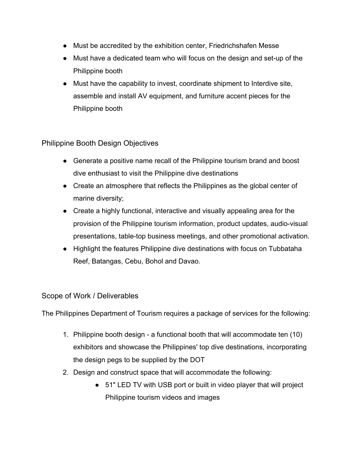- Must be accredited by the exhibition center, Friedrichshafen Messe
- Must have a dedicated team who will focus on the design and set-up of the Philippine booth
- Must have the capability to invest, coordinate shipment to Interdive site, assemble and install AV equipment, and furniture accent pieces for the Philippine booth

## Philippine Booth Design Objectives

- Generate a positive name recall of the Philippine tourism brand and boost dive enthusiast to visit the Philippine dive destinations
- Create an atmosphere that reflects the Philippines as the global center of marine diversity;
- Create a highly functional, interactive and visually appealing area for the provision of the Philippine tourism information, product updates, audio-visual presentations, table-top business meetings, and other promotional activation.
- Highlight the features Philippine dive destinations with focus on Tubbataha Reef, Batangas, Cebu, Bohol and Davao.

### Scope of Work / Deliverables

The Philippines Department of Tourism requires a package of services for the following:

- 1. Philippine booth design a functional booth that will accommodate ten (10) exhibitors and showcase the Philippines' top dive destinations, incorporating the design pegs to be supplied by the DOT
- 2. Design and construct space that will accommodate the following:
	- 51" LED TV with USB port or built in video player that will project Philippine tourism videos and images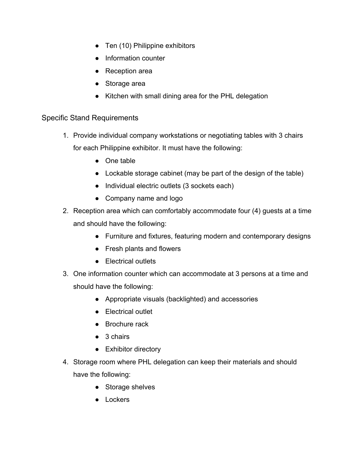- Ten (10) Philippine exhibitors
- Information counter
- Reception area
- Storage area
- Kitchen with small dining area for the PHL delegation

### Specific Stand Requirements

- 1. Provide individual company workstations or negotiating tables with 3 chairs for each Philippine exhibitor. It must have the following:
	- One table
	- Lockable storage cabinet (may be part of the design of the table)
	- Individual electric outlets (3 sockets each)
	- Company name and logo
- 2. Reception area which can comfortably accommodate four (4) guests at a time and should have the following:
	- Furniture and fixtures, featuring modern and contemporary designs
	- Fresh plants and flowers
	- Electrical outlets
- 3. One information counter which can accommodate at 3 persons at a time and should have the following:
	- Appropriate visuals (backlighted) and accessories
	- Electrical outlet
	- Brochure rack
	- 3 chairs
	- Exhibitor directory
- 4. Storage room where PHL delegation can keep their materials and should have the following:
	- Storage shelves
	- Lockers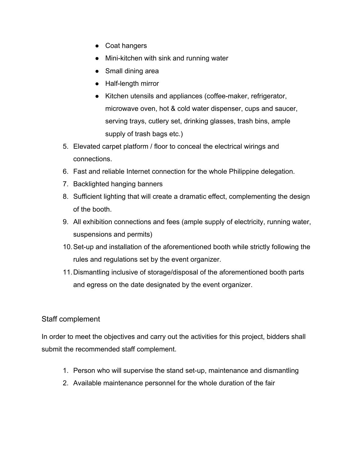- Coat hangers
- Mini-kitchen with sink and running water
- Small dining area
- Half-length mirror
- Kitchen utensils and appliances (coffee-maker, refrigerator, microwave oven, hot & cold water dispenser, cups and saucer, serving trays, cutlery set, drinking glasses, trash bins, ample supply of trash bags etc.)
- 5. Elevated carpet platform / floor to conceal the electrical wirings and connections.
- 6. Fast and reliable Internet connection for the whole Philippine delegation.
- 7. Backlighted hanging banners
- 8. Sufficient lighting that will create a dramatic effect, complementing the design of the booth.
- 9. All exhibition connections and fees (ample supply of electricity, running water, suspensions and permits)
- 10.Set-up and installation of the aforementioned booth while strictly following the rules and regulations set by the event organizer.
- 11.Dismantling inclusive of storage/disposal of the aforementioned booth parts and egress on the date designated by the event organizer.

### Staff complement

In order to meet the objectives and carry out the activities for this project, bidders shall submit the recommended staff complement.

- 1. Person who will supervise the stand set-up, maintenance and dismantling
- 2. Available maintenance personnel for the whole duration of the fair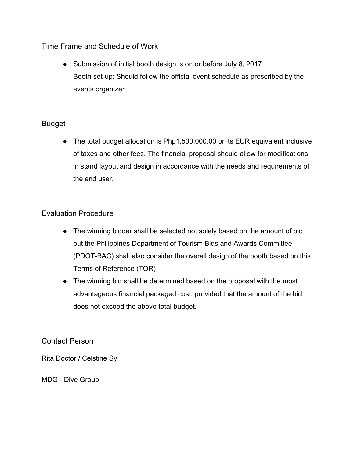Time Frame and Schedule of Work

• Submission of initial booth design is on or before July 8, 2017 Booth set-up: Should follow the official event schedule as prescribed by the events organizer

### Budget

● The total budget allocation is Php1,500,000.00 or its EUR equivalent inclusive of taxes and other fees. The financial proposal should allow for modifications in stand layout and design in accordance with the needs and requirements of the end user.

### Evaluation Procedure

- The winning bidder shall be selected not solely based on the amount of bid but the Philippines Department of Tourism Bids and Awards Committee (PDOT-BAC) shall also consider the overall design of the booth based on this Terms of Reference (TOR)
- The winning bid shall be determined based on the proposal with the most advantageous financial packaged cost, provided that the amount of the bid does not exceed the above total budget.

Contact Person

Rita Doctor / Celstine Sy

MDG - Dive Group